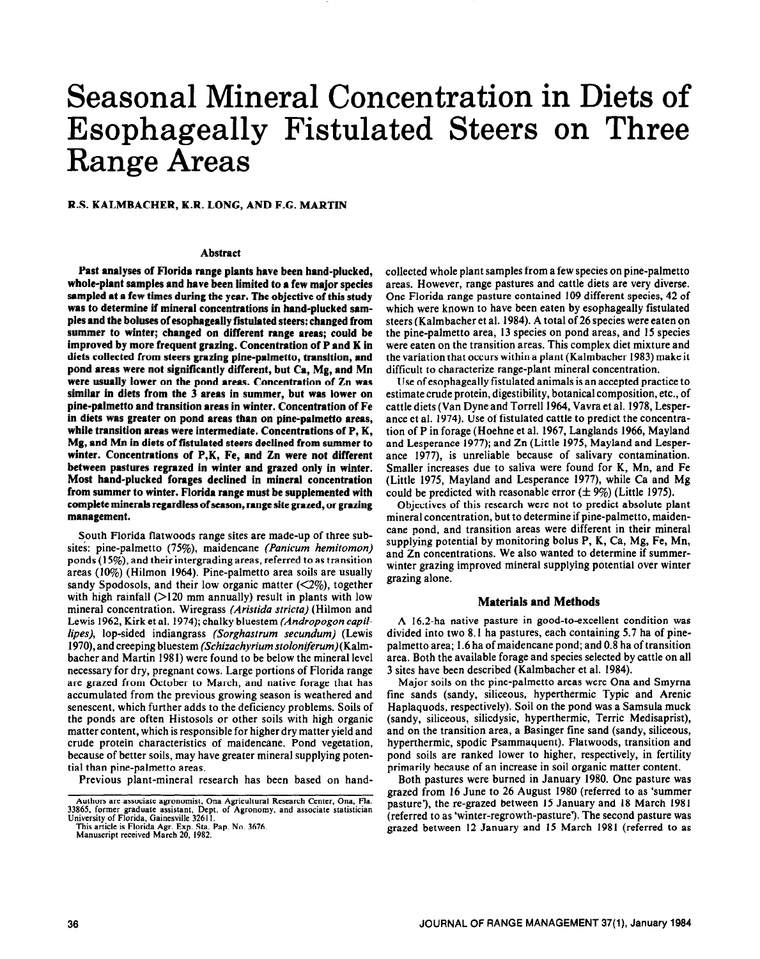# Seasonal Mineral Concentration in Diets of Esophageally Fistulated Steers on Three Range Areas

**R.S. KALMBACHER, K.R. LONG, AND F.G. MARTIN** 

### **Abstract**

Past analyses of Florida range plants have been hand-plucked, **whole-plant samples and have been limited to a few major species sampled at a few times during the year. The objective of this study was to determine if mineral concentrations in hand-plucked sam**ples and the boluses of esophageally fistulated steers: changed from **summer to winter; changed on different range areas; could be improved by more frequent grazing. Concentration of P and K in diets collected from steers grazing pine-palmetto, transition, and pond areas were not significantly different, but Ca, Mg, and Mn were usually lower on the pond areas. Concentration of Zn was similar in diets from the 3 areas in summer, but was lower on pine-palmetto and transition areas in winter. Concentration of Fe in diets was greater on pond areas than on pine-palmetto areas, while transition areas were intermediate. Concentrations of P, K, Mg, and Mn in diets of fistulated steers declined from summer to winter. Concentrations of P,K, Fe, and Zn were not different between pastures regrazed in winter and grazed only in winter. Most hand-plucked forages declined in mineral concentration from summer to winter. Florida range must be supplemented with complete minerals regardless of season, range site grazed, or grazing management.** 

South Florida flatwoods range sites are made-up of three subsites: pine-palmetto (75%), maidencane *(Panicum hemitomon)*  ponds  $(15%)$ , and their intergrading areas, referred to as transition areas (10%) (Hilmon 1964). Pine-palmetto area soils are usually sandy Spodosols, and their low organic matter  $(\leq 2\%)$ , together with high rainfall  $(>120$  mm annually) result in plants with low mineral concentration. Wiregrass *(Aristida stricta)* (Hilmon and Lewis 1962, Kirk et al. 1974); chalky bluestem *(Andropogon capil lipes)*, *lop-sided indiangrass (Sorghastrum secundum)* (Lewis **1970),** and creeping bluestem *(Schizachyrium* stoloniferum)(Kalmbacher and Martin 1981) were found to be below the mineral level necessary for dry, pregnant cows. Large portions of Florida range are grazed from October to March, and native forage that has accumulated from the previous growing season is weathered and senescent, which further adds to the deficiency problems. Soils of the ponds are often Histosols or other soils with high organic matter content, which is responsible for higher dry matter yield and crude protein characteristics of maidencane. Pond vegetation, because of better soils, may have greater mineral supplying potential than pine-palmetto areas.

Previous plant-mineral research has been based on hand-

collected whole plant samples from a few species on pine-palmetto areas. However, range pastures and cattle diets are very diverse. One Florida range pasture contained 109 different species, 42 of which were known to have been eaten by esophageally fistulated steers (Kalmbacher et al. 1984). A total of 26 species were eaten on the pine-palmetto area, 13 species on pond areas, and 15 species were eaten on the transition areas. This complex diet mixture and the variation that occurs within a plant (Kalmbacher 1983) make it difficult to characterize range-plant mineral concentration.

Use of esophageally fistulated animals is an accepted practice to estimate crude protein, digestibility, botanical composition, etc., of cattle diets (Van Dyne and Torrell 1964, Vavra et al. 1978, Lesperance et al. 1974). Use of fistulated cattle to predict the concentration of P in forage (Hoehne et al. 1967, Langlands 1966, Mayland and Lesperance 1977); and Zn (Little 1975, Mayland and Lesperance 1977), is unreliable because of salivary contamination. Smaller increases due to saliva were found for K, Mn, and Fe (Little 1975, Mayland and Lesperance 1977), while Ca and Mg could be predicted with reasonable error  $(\pm 9\%)$  (Little 1975).

Objectives of this research were not to predict absolute plant mineral concentration, but to determine if pine-palmetto, maidencane pond, and transition areas were different in their mineral supplying potential by monitoring bolus P, K, Ca, Mg, Fe, Mn, and Zn concentrations. We also wanted to determine if summerwinter grazing improved mineral supplying potential over winter grazing alone.

#### **Materials and Methods**

A 16.2-ha native pasture in good-to-excellent condition was divided into two 8.1 ha pastures, each containing 5.7 ha of pinepalmetto area; 1.6 ha of maidencane pond; and 0.8 ha of transition area. Both the available forage and species selected by cattle on all 3 sites have been described (Kalmbacher et al. 1984).

Major soils on the pine-palmetto areas were Ona and Smyrna fine sands (sandy, siliceous, hyperthermic Typic and Arenic Haplaquods, respectively). Soil on the pond was a Samsula muck (sandy, siliceous, silicdysic, hyperthermic, Terric Medisaprist), and on the transition area, a Basinger fine sand (sandy, siliceous, hyperthermic, spodic Psammaquent). Flatwoods, transition and pond soils are ranked lower to higher, respectively, in fertility primarily because of an increase in soil organic matter content.

Both pastures were burned in January 1980. One pasture was grazed from 16 June to 26 August 1980 (referred to as 'summer pasture'), the re-grazed between 15 January and 18 March 1981 (referred to as 'winter-regrowth-pasture'). The second pasture was grazed between 12 January and 15 March 1981 (referred to as

Authors are associate agronomist, Ona Agricultural Research Center, Ona, Fla. 33865, former graduate assistant, Dept. of Agronomy, and associate statistician University of Florida, Gainesville 3261 I. This article is FlorIda Agr. Exp. Sta. Pap. No. 3676. Manuscript received March 20, 1982.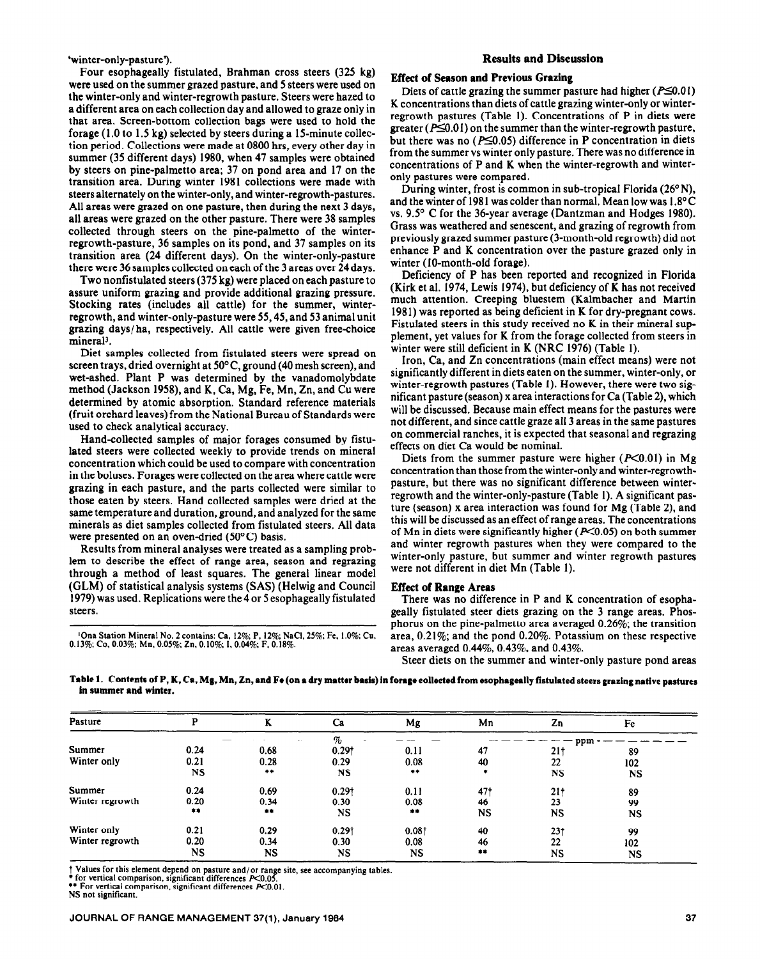Four esophageally fistulated, Brahman cross steers (325 kg) were used on the summer grazed pasture, and 5 steers were used on the winter-only and winter-regrowth pasture. Steers were hazed to a different area on each collection day and allowed to graze only in that area. Screen-bottom collection bags were used to hold the forage **(1 .O** to 1.5 kg) selected by steers during a 15-minute collection period. Collections were made at 0800 hrs, every other day in summer (35 different days) 1980, when 47 samples were obtained by steers on pine-palmetto area; 37 on pond area and 17 on the transition area. During winter 1981 collections were made with steers alternately on the winter-only, and winter-regrowth-pastures. All areas were grazed on one pasture, then during the next 3 days, all areas were grazed on the other pasture. There were 38 samples collected through steers on the pine-palmetto of the winterregrowth-pasture, 36 samples on its pond, and 37 samples on its transition area (24 different days). On the winter-only-pasture there were 36 samples collected on each of the 3 areas over 24 days.

Two nonfistulated steers (375 kg) were placed on each pasture to assure uniform grazing and provide additional grazing pressure. Stocking rates (includes all cattle) for the summer, winterregrowth, and winter-only-pasture were 55,45, and 53 animal unit grazing days/ha, respectively. All cattle were given free-choice mineral<sup>3</sup>.

Diet samples collected from fistulated steers were spread on screen trays, dried overnight at 50°C, ground (40 mesh screen), and wet-ashed. Plant P was determined by the vanadomolybdate method (Jackson 1958), and K, Ca, Mg, Fe, Mn, Zn, and Cu were determined by atomic absorption. Standard reference materials (fruit orchard 1eaves)from the National Bureau of Standards were used to check analytical accuracy.

Hand-collected samples of major forages consumed by fistulated steers were collected weekly to provide trends on mineral concentration which could be used to compare with concentration in the boluses. Forages were collected on the area where cattle were grazing in each pasture, and the parts collected were similar to those eaten by steers. Hand collected samples were dried at the same temperature and duration, ground, and analyzed for the same minerals as diet samples collected from fistulated steers. All data were presented on an oven-dried  $(50^{\circ}C)$  basis.

Results from mineral analyses were treated as a sampling problem to describe the effect of range area, season and regrazing through a method of least squares. The general linear model (GLM) of statistical analysis systems (SAS) (Helwig and Council 1979) was used. Replications were the 4 or 5 esophageally fistulated steers.

'Ona Station Mineral No. 2 contains: Ca, 12%; P, 12%; NaCl, 25%; Fe, 1.0%; Cu, 0.13%; Co, 0.03%; Mn, 0.05%; Zn. 0.10%; I, 0.04%; F, 0.18%.

#### 'winter-only-pasture?. **Results and Discussion**

## **Effect of Season and Previous Grazing**

Diets of cattle grazing the summer pasture had higher ( $P \le 0.01$ ) K concentrations than diets of cattle grazing winter-only or winterregrowth pastures (Table 1). Concentrations of P in diets were greater ( $P \le 0.01$ ) on the summer than the winter-regrowth pasture, but there was no ( $P \le 0.05$ ) difference in P concentration in diets from the summer vs winter only pasture. There was no difference in concentrations of P and K when the winter-regrowth and winteronly pastures were compared.

During winter, frost is common in sub-tropical Florida (26°N), and the winter of 1981 was colder than normal. Mean low was  $1.8^{\circ}$ C vs. 9.5' C for the 36-year average (Dantzman and Hodges 1980). Grass was weathered and senescent, and grazing of regrowth from previously grazed summer pasture (3-month-old regrowth) did not enhance P and K concentration over the pasture grazed only in winter (IO-month-old forage).

Deficiency of P has been reported and recognized in Florida (Kirk et al. 1974, Lewis 1974), but deficiency of K has not received much attention. Creeping bluestem (Kalmbacher and Martin 1981) was reported as being deficient in **K** for dry-pregnant cows. Fistulated steers in this study received no K in their mineral supplement, yet values for K from the forage collected from steers in winter were still deficient in K (NRC 1976) (Table 1).

Iron, Ca, and Zn concentrations (main effect means) were not significantly different in diets eaten on the summer, winter-only, or winter-regrowth pastures (Table 1). However, there were two significant pasture (season) x area interactions for Ca (Table 2), which will be discussed. Because main effect means for the pastures were not different, and since cattle graze all 3 areas in the same pastures on commercial ranches, it is expected that seasonal and regrazing effects on diet Ca would be nominal.

Diets from the summer pasture were higher  $(P<0.01)$  in Mg concentration than those from the winter-only and winter-regrowthpasture, but there was no significant difference between winterregrowth and the winter-only-pasture (Table 1). A significant pasture (season) x area interaction was found for Mg (Table 2), and this will be discussed as an effect of range areas. The concentrations of Mn in diets were significantly higher ( $P<0.05$ ) on both summer and winter regrowth pastures when they were compared to the winter-only pasture, but summer and winter regrowth pastures were not different in diet Mn (Table 1).

#### **Effect of Range Areas**

There was no difference in P and K concentration of esophageally fistulated steer diets grazing on the 3 range areas. Phosphorus on the pine-palmetto area averaged 0.26%; the transition area, 0.21%; and the pond 0.20%. Potassium on these respective areas averaged 0.44%, 0.43%, and 0.43%.

Steer diets on the summer and winter-only pasture pond areas

**Table 1. Contents of P, K, Ca, Mg, Mn, Zn, and Fe (on a dry matter basis) in forage collected from esophageally fistulated steers grazing native pastures In summer and winter.** 

| Pasture         |           | N         | Ca                  | Mg    | Mn        | Zn              | Fe        |
|-----------------|-----------|-----------|---------------------|-------|-----------|-----------------|-----------|
|                 |           |           |                     |       |           | ppm             |           |
| Summer          | 0.24      | 0.68      | 0.291               | 0.11  | 47        | 21 <sub>†</sub> | 89        |
| Winter only     | 0.21      | 0.28      | 0.29                | 0.08  | 40        | 22              | 102       |
|                 | <b>NS</b> | $***$     | <b>NS</b>           | $+ +$ |           | <b>NS</b>       | NS.       |
| Summer          | 0.24      | 0.69      | 0.291               | 0.11  | 47†       | 21 <sub>1</sub> | 89        |
| Winter regrowth | 0.20      | 0.34      | 0.30                | 0.08  | 46        | 23              | 99        |
|                 | $+ +$     |           | <b>NS</b>           | 中華    | <b>NS</b> | <b>NS</b>       | <b>NS</b> |
| Winter only     | 0.21      | 0.29      | $0.29$ <sup>+</sup> | 0.081 | 40        | 231             | 99        |
| Winter regrowth | 0.20      | 0.34      | 0.30                | 0.08  | 46        | 22              | 102       |
|                 | <b>NS</b> | <b>NS</b> | NS                  | NS    | $+ +$     | <b>NS</b>       | NS        |

t Values for this element depend on pasture and/or range site, see accompanying tables.<br>\* for vertical comparison, significant differences P<0.05.

\*\* For vertical comparison, significant differences P<0.01.

NS not significant.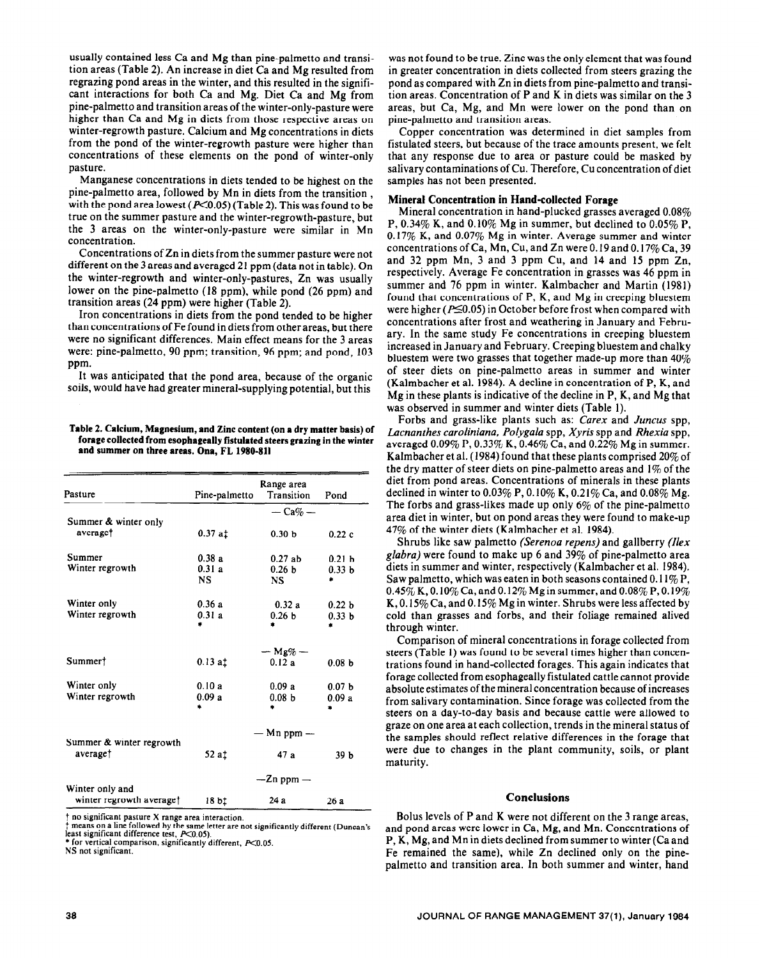usually contained less Ca and Mg than pine-palmetto and transition areas (Table 2). An increase in diet Ca and Mg resulted from regrazing pond areas in the winter, and this resulted in the significant interactions for both Ca and Mg. Diet Ca and Mg from pine-palmetto and transition areas of the winter-only-pasture were higher than Ca and Mg in diets from those respective areas on winter-regrowth pasture. Calcium and Mg concentrations in diets from the pond of the winter-regrowth pasture were higher than concentrations of these elements on the pond of winter-only pasture.

Manganese concentrations in diets tended to be highest on the pine-palmetto area, followed by Mn in diets from the transition , with the pond area lowest ( $P<0.05$ ) (Table 2). This was found to be true on the summer pasture and the winter-regrowth-pasture, but the 3 areas on the winter-only-pasture were similar in Mn concentration.

Concentrations of Zn in diets from the summer pasture were not different on the 3 areas and averaged 21 ppm (data not in table). On the winter-regrowth and winter-only-pastures, Zn was usually lower on the pine-palmetto (18 ppm), while pond (26 ppm) and transition areas (24 ppm) were higher (Table 2).

Iron concentrations in diets from the pond tended to be higher than concentrations of Fe found in diets from other areas, but there were no significant differences. Main effect means for the 3 areas were: pine-palmetto, 90 ppm; transition, 96 ppm; and pond, 103 ppm.

It was anticipated that the pond area, because of the organic soils, would have had greater mineral-supplying potential, but this

**Table 2. Calcium, Magnesium, and Zinc content (on a dry matter basis) of forage collected from esophageally fistulated steers grazing in the winter and summer on three areas. Ona, FL 1980-811** 

| Pasture                  | Pine-palmetto  | Range area<br>Transition | Pond              |  |  |  |
|--------------------------|----------------|--------------------------|-------------------|--|--|--|
|                          |                | $-\mathbf{Ca}\% -$       |                   |  |  |  |
| Summer & winter only     |                |                          |                   |  |  |  |
| averaget                 | 0.37at         | 0.30 <sub>b</sub>        | 0.22c             |  |  |  |
|                          |                |                          |                   |  |  |  |
| Summer                   | 0.38a          | 0.27ab                   | 0.21h             |  |  |  |
| Winter regrowth          | 0.31a          | 0.26 <sub>b</sub>        | 0.33 <sub>b</sub> |  |  |  |
|                          | NS             | NS.                      | ×                 |  |  |  |
|                          |                |                          |                   |  |  |  |
| Winter only              | 0.36a          | 0.32a                    | 0.22 <sub>b</sub> |  |  |  |
| Winter regrowth          | 0.31a          | 0.26 <sub>b</sub>        | 0.33 <sub>b</sub> |  |  |  |
|                          |                | ۰                        |                   |  |  |  |
|                          |                |                          |                   |  |  |  |
|                          | $-Mg\% -$      |                          |                   |  |  |  |
| Summer <sup>†</sup>      | $0.13$ at      | 0.12a                    |                   |  |  |  |
|                          |                |                          | 0.08 <sub>b</sub> |  |  |  |
| Winter only              | 0.10a          | 0.09a                    | 0.07 <sub>b</sub> |  |  |  |
| Winter regrowth          | 0.09a          | 0.08 <sub>b</sub>        |                   |  |  |  |
|                          | ń.             | ź.                       | 0.09a             |  |  |  |
|                          |                |                          |                   |  |  |  |
|                          |                |                          |                   |  |  |  |
| Summer & winter regrowth |                | $-$ Mn ppm $-$           |                   |  |  |  |
| average <sup>†</sup>     | 52 at          | 47a                      | 39 <sub>b</sub>   |  |  |  |
|                          |                |                          |                   |  |  |  |
|                          |                |                          |                   |  |  |  |
| Winter only and          | $-$ Zn ppm $-$ |                          |                   |  |  |  |
| winter regrowth average† | 18 bi          | 24 a                     | 26a               |  |  |  |
|                          |                |                          |                   |  |  |  |

t no significant pasture X range area **interaction.** 

**\$ means on a line followed by the same letter are not significantly different (Duncan's least significant difference test, KO.05).** 

**\* for vertical comparison, significantly different, KO.05. NS not significant.** 

was not found to be true. Zinc was the only element that was found in greater concentration in diets collected from steers grazing the pond as compared with Zn in diets from pine-palmetto and transition areas. Concentration of P and K in diets was similar on the 3 areas, but Ca, Mg, and Mn were lower on the pond than on pine-palmetto and transition areas.

Copper concentration was determined in diet samples from fistulated steers, but because of the trace amounts present, we felt that any response due to area or pasture could be masked by salivary contaminations of Cu. Therefore, Cu concentration of diet samples has not been presented.

#### **Mineral Concentration in Hand-collected Forage**

Mineral concentration in hand-plucked grasses averaged 0.08% P, 0.34% K, and 0.10% Mg in summer, but declined to 0.05% P. 0.17% K, and 0.07% Mg in winter. Average summer and winter concentrations of Ca, Mn, Cu, and Zn were 0.19 and 0.17% Ca, 39 and 32 ppm Mn, 3 and 3 ppm Cu, and 14 and 15 ppm Zn, respectively. Average Fe concentration in grasses was 46 ppm in summer and 76 ppm in winter. Kalmbacher and Martin (1981) found that concentrations of P, K, and Mg in creeping bluestem were higher ( $P\leq 0.05$ ) in October before frost when compared with concentrations after frost and weathering in January and February. In the same study Fe concentrations in creeping bluestem increased in January and February. Creeping bluestem and chalky bluestem were two grasses that together made-up more than 40% of steer diets on pine-palmetto areas in summer and winter (Kalmbacher et al. 1984). A decline in concentration of P, K, and Mg in these plants is indicative of the decline in P, K, and Mg that was observed in summer and winter diets (Table 1).

Forbs and grass-like plants such as: *Carex* and *Juncus* spp, *Lacnanthes caroliniana. Poiygala* spp, *Xyris* spp and *Rhexia* spp, averaged  $0.09\%$  P,  $0.33\%$  K,  $0.46\%$  Ca, and  $0.22\%$  Mg in summer. Kalmbacher et al. (1984) found that these plants comprised 20% of the dry matter of steer diets on pine-palmetto areas and  $1\%$  of the diet from pond areas. Concentrations of minerals in these plants declined in winter to  $0.03\%$  P,  $0.10\%$  K,  $0.21\%$  Ca, and  $0.08\%$  Mg. The forbs and grass-likes made up only  $6\%$  of the pine-palmetto area diet in winter, but on pond areas they were found to make-up 47% of the winter diets (Kalmbacher et al. 1984).

Shrubs like saw palmetto *(Serenoa repens)* and gallberry (Ilex *glabra)* were found to make up 6 and 39% of pine-palmetto area diets in summer and winter, respectively (Kalmbacher et al. 1984). Saw palmetto, which was eaten in both seasons contained  $0.11\%$  P, 0.45% K, 0.10% Ca, and 0.12% Mg in summer, and 0.08% P, 0.19% K,  $0.15\%$  Ca, and  $0.15\%$  Mg in winter. Shrubs were less affected by cold than grasses and forbs, and their foliage remained alived through winter.

Comparison of mineral concentrations in forage collected from steers (Table 1) was found to be several times higher than concentrations found in hand-collected forages. This again indicates that forage collected from esophageally fistulated cattle cannot provide absolute estimates of the mineral concentration because of increases from salivary contamination. Since forage was collected from the steers on a day-to-day basis and because cattle were allowed to graze on one area at each collection, trends in the mineral status of the samples should reflect relative differences in the forage that were due to changes in the plant community, soils, or plant maturity.

#### **Conclusions**

Bolus levels of P and K were not different on the 3 range areas, and pond areas were lower in Ca, Mg, and Mn. Concentrations of P, K, Mg, and Mn in diets declined from summer to winter (Ca and Fe remained the same), while Zn declined only on the pinepalmetto and transition area. In both summer and winter, hand